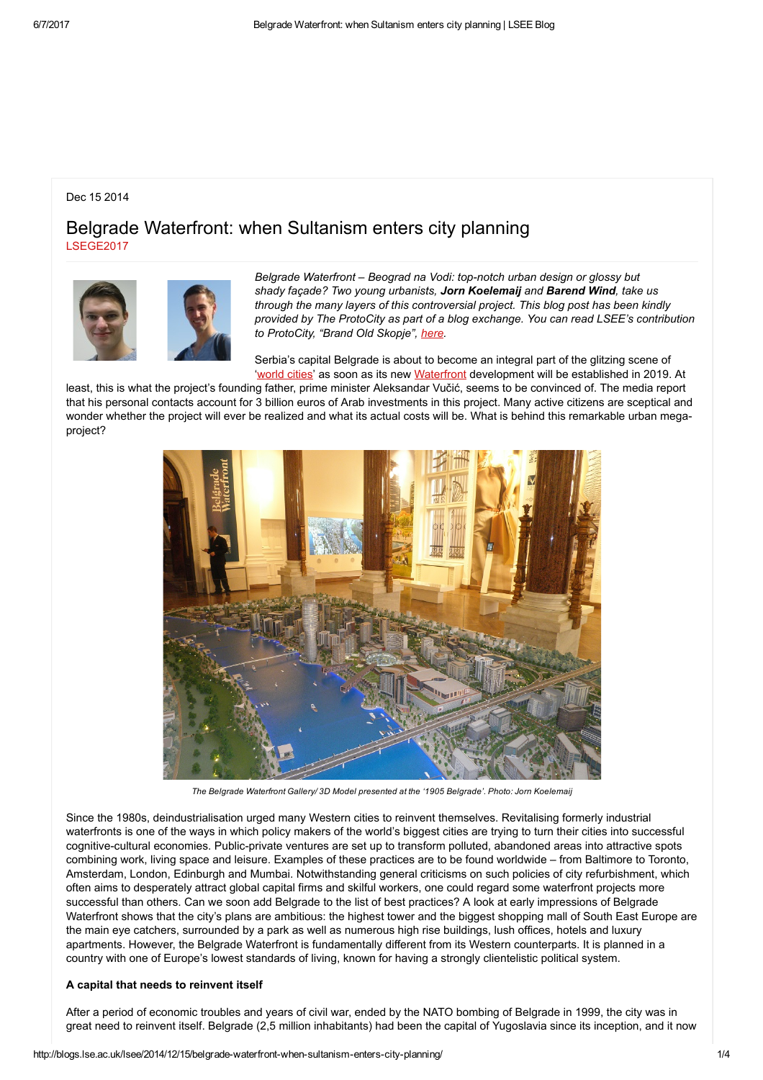# Dec 15 2014

# Belgrade Waterfront: when Sultanism enters city planning [LSEGE2017](http://blogs.lse.ac.uk/lsee/author/prelec/)





Belgrade Waterfront - Beograd na Vodi: top-notch urban design or glossy but shady façade? Two young urbanists, Jorn Koelemaij and Barend Wind, take us through the many layers of this controversial project. This blog post has been kindly provided by The ProtoCity as part of a blog exchange. You can read LSEE's contribution to ProtoCity, "Brand Old Skopje", [here.](http://theprotocity.com/brand-old-skopje/)

Serbia's capital Belgrade is about to become an integral part of the glitzing scene of '[world](http://www.amazon.co.uk/World-City-Network-Global-Analysis/dp/0415302498) cities' as soon as its new [Waterfront](http://www.belgradewaterfront.com/Belgrade-Waterfront/1/Belgrade-Waterfront.shtml) development will be established in 2019. At

least, this is what the project's founding father, prime minister Aleksandar Vučić, seems to be convinced of. The media report that his personal contacts account for 3 billion euros of Arab investments in this project. Many active citizens are sceptical and wonder whether the project will ever be realized and what its actual costs will be. What is behind this remarkable urban megaproject?



The Belgrade Waterfront Gallery/ 3D Model presented at the '1905 Belgrade'. Photo: Jorn Koelemaij

Since the 1980s, deindustrialisation urged many Western cities to reinvent themselves. Revitalising formerly industrial waterfronts is one of the ways in which policy makers of the world's biggest cities are trying to turn their cities into successful cognitive-cultural economies. Public-private ventures are set up to transform polluted, abandoned areas into attractive spots combining work, living space and leisure. Examples of these practices are to be found worldwide – from Baltimore to Toronto, Amsterdam, London, Edinburgh and Mumbai. Notwithstanding general criticisms on such policies of city refurbishment, which often aims to desperately attract global capital firms and skilful workers, one could regard some waterfront projects more successful than others. Can we soon add Belgrade to the list of best practices? A look at early impressions of Belgrade Waterfront shows that the city's plans are ambitious: the highest tower and the biggest shopping mall of South East Europe are the main eye catchers, surrounded by a park as well as numerous high rise buildings, lush offices, hotels and luxury apartments. However, the Belgrade Waterfront is fundamentally different from its Western counterparts. It is planned in a country with one of Europe's lowest standards of living, known for having a strongly clientelistic political system.

## A capital that needs to reinvent itself

After a period of economic troubles and years of civil war, ended by the NATO bombing of Belgrade in 1999, the city was in great need to reinvent itself. Belgrade (2,5 million inhabitants) had been the capital of Yugoslavia since its inception, and it now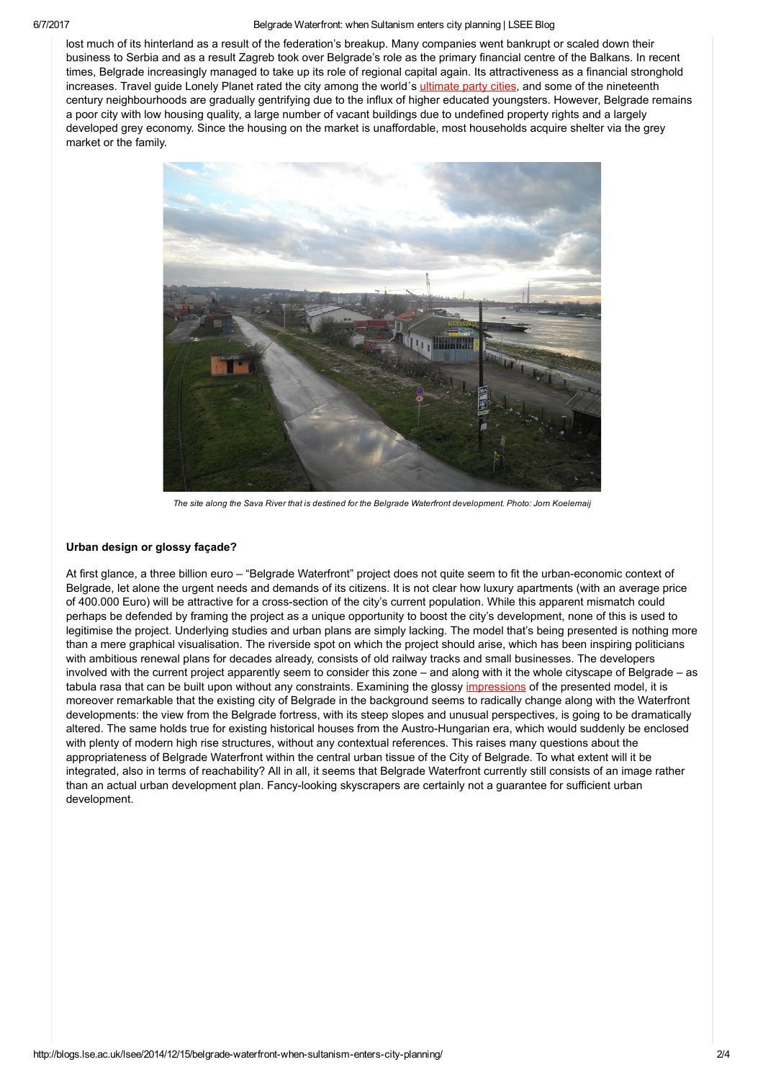#### 6/7/2017 Belgrade Waterfront: when Sultanism enters city planning | LSEE Blog

lost much of its hinterland as a result of the federation's breakup. Many companies went bankrupt or scaled down their business to Serbia and as a result Zagreb took over Belgrade's role as the primary financial centre of the Balkans. In recent times, Belgrade increasingly managed to take up its role of regional capital again. Its attractiveness as a financial stronghold increases. Travel guide Lonely Planet rated the city among the world's [ultimate](http://www.lonelyplanet.com/travel-tips-and-articles/39339) party cities, and some of the nineteenth century neighbourhoods are gradually gentrifying due to the influx of higher educated youngsters. However, Belgrade remains a poor city with low housing quality, a large number of vacant buildings due to undefined property rights and a largely developed grey economy. Since the housing on the market is unaffordable, most households acquire shelter via the grey market or the family.



The site along the Sava River that is destined for the Belgrade Waterfront development. Photo: Jorn Koelemaij

## Urban design or glossy façade?

At first glance, a three billion euro – "Belgrade Waterfront" project does not quite seem to fit the urban-economic context of Belgrade, let alone the urgent needs and demands of its citizens. It is not clear how luxury apartments (with an average price of 400.000 Euro) will be attractive for a cross-section of the city's current population. While this apparent mismatch could perhaps be defended by framing the project as a unique opportunity to boost the city's development, none of this is used to legitimise the project. Underlying studies and urban plans are simply lacking. The model that's being presented is nothing more than a mere graphical visualisation. The riverside spot on which the project should arise, which has been inspiring politicians with ambitious renewal plans for decades already, consists of old railway tracks and small businesses. The developers involved with the current project apparently seem to consider this zone – and along with it the whole cityscape of Belgrade – as tabula rasa that can be built upon without any constraints. Examining the glossy [impressions](https://www.google.be/search?q=belgrade+waterfront&source=lnms&tbm=isch&sa=X&ei=wpuKVLCsEYuBUYOIgMgC&ved=0CAkQ_AUoAg&biw=1366&bih=653) of the presented model, it is moreover remarkable that the existing city of Belgrade in the background seems to radically change along with the Waterfront developments: the view from the Belgrade fortress, with its steep slopes and unusual perspectives, is going to be dramatically altered. The same holds true for existing historical houses from the Austro-Hungarian era, which would suddenly be enclosed with plenty of modern high rise structures, without any contextual references. This raises many questions about the appropriateness of Belgrade Waterfront within the central urban tissue of the City of Belgrade. To what extent will it be integrated, also in terms of reachability? All in all, it seems that Belgrade Waterfront currently still consists of an image rather than an actual urban development plan. Fancy-looking skyscrapers are certainly not a guarantee for sufficient urban development.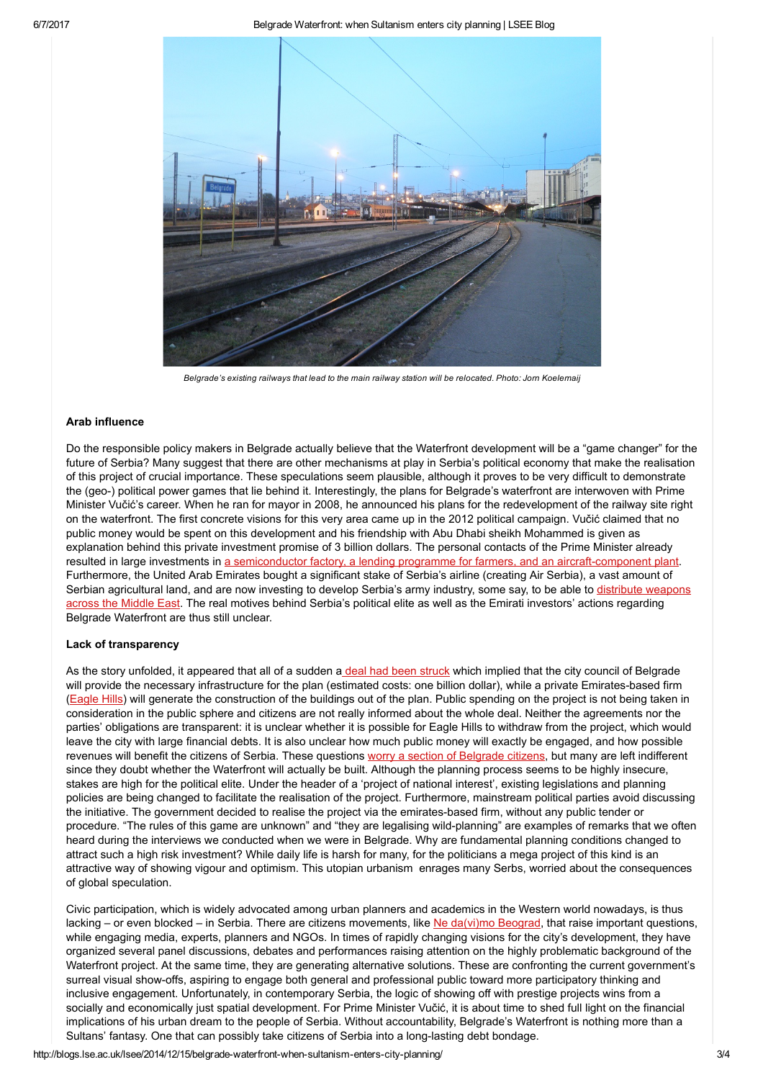

Belgrade's existing railways that lead to the main railway station will be relocated. Photo: Jorn Koelemaij

## Arab influence

Do the responsible policy makers in Belgrade actually believe that the Waterfront development will be a "game changer" for the future of Serbia? Many suggest that there are other mechanisms at play in Serbia's political economy that make the realisation of this project of crucial importance. These speculations seem plausible, although it proves to be very difficult to demonstrate the (geo) political power games that lie behind it. Interestingly, the plans for Belgrade's waterfront are interwoven with Prime Minister Vučić's career. When he ran for mayor in 2008, he announced his plans for the redevelopment of the railway site right on the waterfront. The first concrete visions for this very area came up in the 2012 political campaign. Vučić claimed that no public money would be spent on this development and his friendship with Abu Dhabi sheikh Mohammed is given as explanation behind this private investment promise of 3 billion dollars. The personal contacts of the Prime Minister already resulted in large investments in a semiconductor factory, a lending programme for farmers, and an aircraft-component plant. Furthermore, the United Arab Emirates bought a significant stake of Serbia's airline (creating Air Serbia), a vast amount of Serbian [agricultural](http://www.middleeasteye.net/news/uaes-shadowy-dealings-serbia-44700108) land, and are now investing to develop Serbia's army industry, some say, to be able to distribute weapons across the Middle East. The real motives behind Serbia's political elite as well as the Emirati investors' actions regarding Belgrade Waterfront are thus still unclear.

## Lack of transparency

As the story unfolded, it appeared that all of a sudden a deal had been [struck](http://voiceofserbia.org/content/belgrade-needs-development-project) which implied that the city council of Belgrade will provide the necessary infrastructure for the plan (estimated costs: one billion dollar), while a private Emirates-based firm [\(Eagle](http://www.eaglehills.com/) Hills) will generate the construction of the buildings out of the plan. Public spending on the project is not being taken in consideration in the public sphere and citizens are not really informed about the whole deal. Neither the agreements nor the parties' obligations are transparent: it is unclear whether it is possible for Eagle Hills to withdraw from the project, which would leave the city with large financial debts. It is also unclear how much public money will exactly be engaged, and how possible revenues will benefit the citizens of Serbia. These questions worry a section of [Belgrade](https://s3.amazonaws.com/cuttings/cuttingpdfs/213312/Zamena%20teza%205.pdf) citizens, but many are left indifferent since they doubt whether the Waterfront will actually be built. Although the planning process seems to be highly insecure, stakes are high for the political elite. Under the header of a 'project of national interest', existing legislations and planning policies are being changed to facilitate the realisation of the project. Furthermore, mainstream political parties avoid discussing the initiative. The government decided to realise the project via the emirates-based firm, without any public tender or procedure. "The rules of this game are unknown" and "they are legalising wild-planning" are examples of remarks that we often heard during the interviews we conducted when we were in Belgrade. Why are fundamental planning conditions changed to attract such a high risk investment? While daily life is harsh for many, for the politicians a mega project of this kind is an attractive way of showing vigour and optimism. This utopian urbanism enrages many Serbs, worried about the consequences of global speculation.

Civic participation, which is widely advocated among urban planners and academics in the Western world nowadays, is thus lacking – or even blocked – in Serbia. There are citizens movements, like Ne [da\(vi\)mo](https://www.facebook.com/nedavimobeograd) Beograd, that raise important questions, while engaging media, experts, planners and NGOs. In times of rapidly changing visions for the city's development, they have organized several panel discussions, debates and performances raising attention on the highly problematic background of the Waterfront project. At the same time, they are generating alternative solutions. These are confronting the current government's surreal visual show-offs, aspiring to engage both general and professional public toward more participatory thinking and inclusive engagement. Unfortunately, in contemporary Serbia, the logic of showing off with prestige projects wins from a socially and economically just spatial development. For Prime Minister Vučić, it is about time to shed full light on the financial implications of his urban dream to the people of Serbia. Without accountability, Belgrade's Waterfront is nothing more than a Sultans' fantasy. One that can possibly take citizens of Serbia into a long-lasting debt bondage.